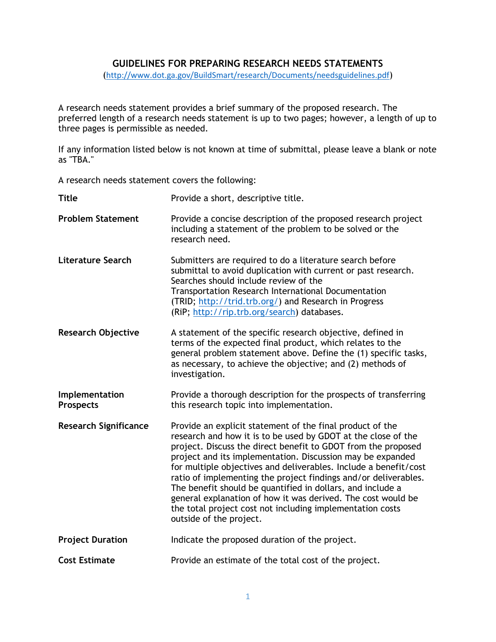## **GUIDELINES FOR PREPARING RESEARCH NEEDS STATEMENTS**

(<http://www.dot.ga.gov/BuildSmart/research/Documents/needsguidelines.pdf>)

A research needs statement provides a brief summary of the proposed research. The preferred length of a research needs statement is up to two pages; however, a length of up to three pages is permissible as needed.

If any information listed below is not known at time of submittal, please leave a blank or note as "TBA."

A research needs statement covers the following:

| <b>Title</b>                       | Provide a short, descriptive title.                                                                                                                                                                                                                                                                                                                                                                                                                                                                                                                                                                                    |
|------------------------------------|------------------------------------------------------------------------------------------------------------------------------------------------------------------------------------------------------------------------------------------------------------------------------------------------------------------------------------------------------------------------------------------------------------------------------------------------------------------------------------------------------------------------------------------------------------------------------------------------------------------------|
| <b>Problem Statement</b>           | Provide a concise description of the proposed research project<br>including a statement of the problem to be solved or the<br>research need.                                                                                                                                                                                                                                                                                                                                                                                                                                                                           |
| <b>Literature Search</b>           | Submitters are required to do a literature search before<br>submittal to avoid duplication with current or past research.<br>Searches should include review of the<br>Transportation Research International Documentation<br>(TRID; http://trid.trb.org/) and Research in Progress<br>(RiP; http://rip.trb.org/search) databases.                                                                                                                                                                                                                                                                                      |
| <b>Research Objective</b>          | A statement of the specific research objective, defined in<br>terms of the expected final product, which relates to the<br>general problem statement above. Define the (1) specific tasks,<br>as necessary, to achieve the objective; and (2) methods of<br>investigation.                                                                                                                                                                                                                                                                                                                                             |
| Implementation<br><b>Prospects</b> | Provide a thorough description for the prospects of transferring<br>this research topic into implementation.                                                                                                                                                                                                                                                                                                                                                                                                                                                                                                           |
| <b>Research Significance</b>       | Provide an explicit statement of the final product of the<br>research and how it is to be used by GDOT at the close of the<br>project. Discuss the direct benefit to GDOT from the proposed<br>project and its implementation. Discussion may be expanded<br>for multiple objectives and deliverables. Include a benefit/cost<br>ratio of implementing the project findings and/or deliverables.<br>The benefit should be quantified in dollars, and include a<br>general explanation of how it was derived. The cost would be<br>the total project cost not including implementation costs<br>outside of the project. |
| <b>Project Duration</b>            | Indicate the proposed duration of the project.                                                                                                                                                                                                                                                                                                                                                                                                                                                                                                                                                                         |
| <b>Cost Estimate</b>               | Provide an estimate of the total cost of the project.                                                                                                                                                                                                                                                                                                                                                                                                                                                                                                                                                                  |